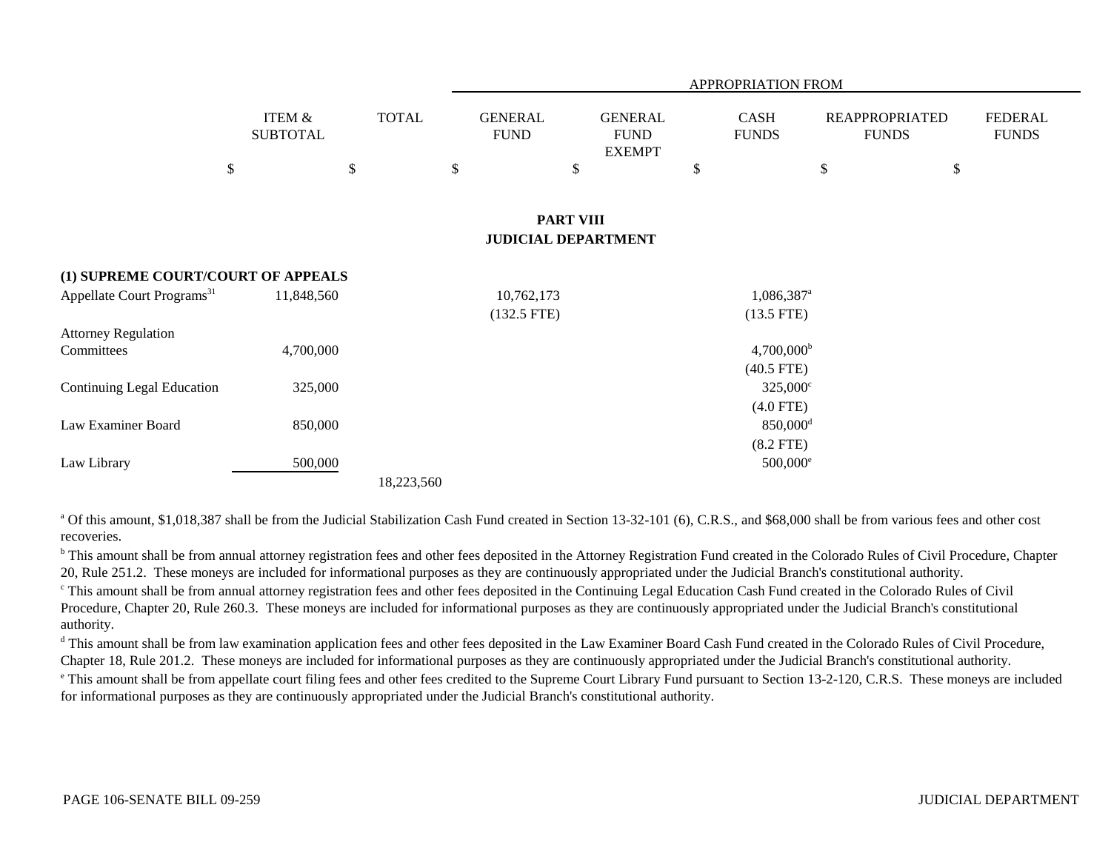|                                        |                                      |              |                                                |                                                | APPROPRIATION FROM                     |                                       |                                |
|----------------------------------------|--------------------------------------|--------------|------------------------------------------------|------------------------------------------------|----------------------------------------|---------------------------------------|--------------------------------|
|                                        | <b>ITEM &amp;</b><br><b>SUBTOTAL</b> | <b>TOTAL</b> | <b>GENERAL</b><br><b>FUND</b>                  | <b>GENERAL</b><br><b>FUND</b><br><b>EXEMPT</b> | CASH<br><b>FUNDS</b>                   | <b>REAPPROPRIATED</b><br><b>FUNDS</b> | <b>FEDERAL</b><br><b>FUNDS</b> |
|                                        | \$                                   | \$           | \$<br>\$                                       |                                                | \$                                     | $\sqrt[6]{\frac{1}{2}}$               | \$                             |
|                                        |                                      |              | <b>PART VIII</b><br><b>JUDICIAL DEPARTMENT</b> |                                                |                                        |                                       |                                |
| (1) SUPREME COURT/COURT OF APPEALS     |                                      |              |                                                |                                                |                                        |                                       |                                |
| Appellate Court Programs <sup>31</sup> | 11,848,560                           |              | 10,762,173<br>$(132.5$ FTE)                    |                                                | 1,086,387 <sup>a</sup><br>$(13.5$ FTE) |                                       |                                |
| <b>Attorney Regulation</b>             |                                      |              |                                                |                                                |                                        |                                       |                                |
| Committees                             | 4,700,000                            |              |                                                |                                                | $4,700,000^{\rm b}$<br>$(40.5$ FTE)    |                                       |                                |
| <b>Continuing Legal Education</b>      | 325,000                              |              |                                                |                                                | $325,000^{\circ}$                      |                                       |                                |
| Law Examiner Board                     | 850,000                              |              |                                                |                                                | $(4.0$ FTE)<br>$850,000$ <sup>d</sup>  |                                       |                                |
|                                        |                                      |              |                                                |                                                | $(8.2$ FTE)                            |                                       |                                |
| Law Library                            | 500,000                              | 18,223,560   |                                                |                                                | $500,000$ <sup>e</sup>                 |                                       |                                |

<sup>a</sup> Of this amount, \$1,018,387 shall be from the Judicial Stabilization Cash Fund created in Section 13-32-101 (6), C.R.S., and \$68,000 shall be from various fees and other cost recoveries.

<sup>b</sup> This amount shall be from annual attorney registration fees and other fees deposited in the Attorney Registration Fund created in the Colorado Rules of Civil Procedure, Chapter 20, Rule 251.2. These moneys are included for informational purposes as they are continuously appropriated under the Judicial Branch's constitutional authority.

c This amount shall be from annual attorney registration fees and other fees deposited in the Continuing Legal Education Cash Fund created in the Colorado Rules of Civil Procedure, Chapter 20, Rule 260.3. These moneys are included for informational purposes as they are continuously appropriated under the Judicial Branch's constitutional authority.

<sup>d</sup> This amount shall be from law examination application fees and other fees deposited in the Law Examiner Board Cash Fund created in the Colorado Rules of Civil Procedure, Chapter 18, Rule 201.2. These moneys are included for informational purposes as they are continuously appropriated under the Judicial Branch's constitutional authority.

<sup>e</sup> This amount shall be from appellate court filing fees and other fees credited to the Supreme Court Library Fund pursuant to Section 13-2-120, C.R.S. These moneys are included for informational purposes as they are continuously appropriated under the Judicial Branch's constitutional authority.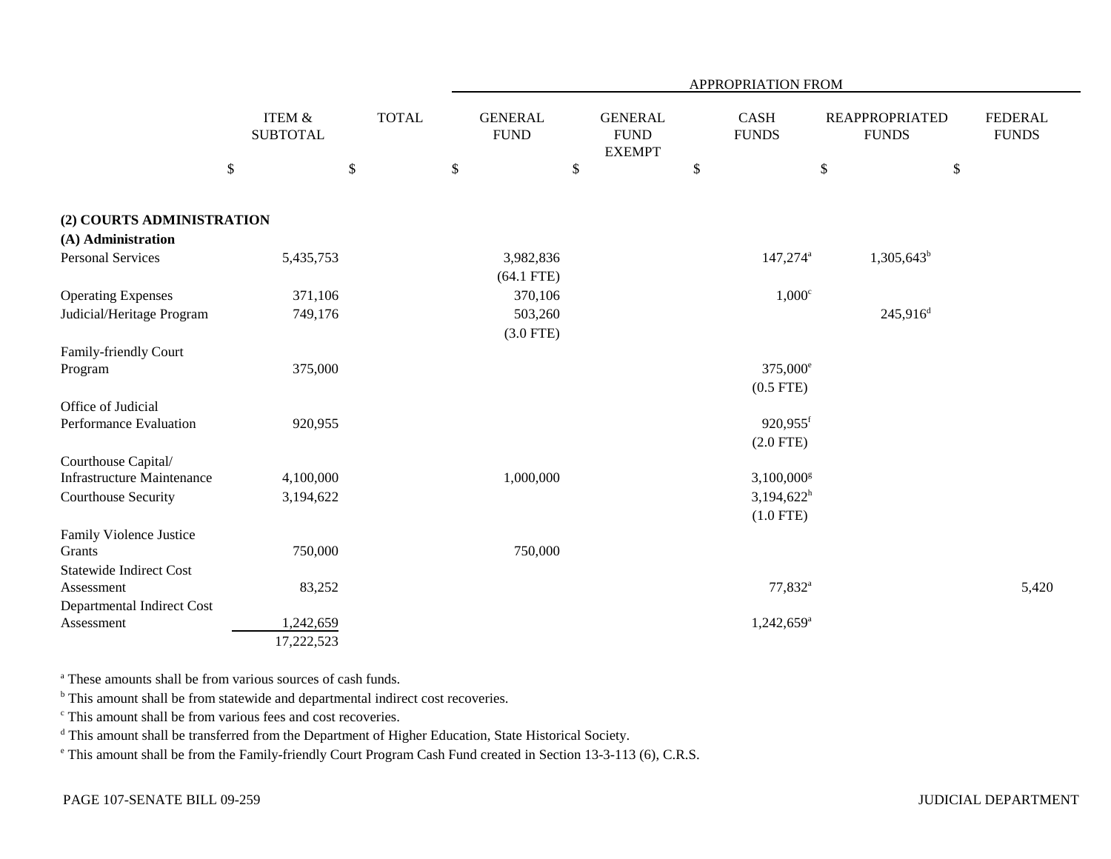|                                   |        |                              |              |      |                               |                                                |      | APPROPRIATION FROM       |              |                                       |                                |
|-----------------------------------|--------|------------------------------|--------------|------|-------------------------------|------------------------------------------------|------|--------------------------|--------------|---------------------------------------|--------------------------------|
|                                   |        | ITEM $\&$<br><b>SUBTOTAL</b> | <b>TOTAL</b> |      | <b>GENERAL</b><br><b>FUND</b> | <b>GENERAL</b><br><b>FUND</b><br><b>EXEMPT</b> |      | CASH<br><b>FUNDS</b>     |              | <b>REAPPROPRIATED</b><br><b>FUNDS</b> | <b>FEDERAL</b><br><b>FUNDS</b> |
|                                   | $\$\,$ |                              | $\$$         | $\$$ |                               | \$                                             | $\$$ |                          | $\mathbb{S}$ | $\$$                                  |                                |
| (2) COURTS ADMINISTRATION         |        |                              |              |      |                               |                                                |      |                          |              |                                       |                                |
| (A) Administration                |        |                              |              |      |                               |                                                |      |                          |              |                                       |                                |
| <b>Personal Services</b>          |        | 5,435,753                    |              |      | 3,982,836                     |                                                |      | $147,274$ <sup>a</sup>   |              | $1,305,643^b$                         |                                |
|                                   |        |                              |              |      | $(64.1$ FTE)                  |                                                |      |                          |              |                                       |                                |
| <b>Operating Expenses</b>         |        | 371,106                      |              |      | 370,106                       |                                                |      | $1,000^\circ$            |              |                                       |                                |
| Judicial/Heritage Program         |        | 749,176                      |              |      | 503,260                       |                                                |      |                          |              | $245,916^d$                           |                                |
|                                   |        |                              |              |      | $(3.0$ FTE)                   |                                                |      |                          |              |                                       |                                |
| Family-friendly Court             |        |                              |              |      |                               |                                                |      |                          |              |                                       |                                |
| Program                           |        | 375,000                      |              |      |                               |                                                |      | 375,000 <sup>e</sup>     |              |                                       |                                |
|                                   |        |                              |              |      |                               |                                                |      | $(0.5$ FTE)              |              |                                       |                                |
| Office of Judicial                |        |                              |              |      |                               |                                                |      | $920,955$ <sup>f</sup>   |              |                                       |                                |
| Performance Evaluation            |        | 920,955                      |              |      |                               |                                                |      | $(2.0$ FTE)              |              |                                       |                                |
| Courthouse Capital/               |        |                              |              |      |                               |                                                |      |                          |              |                                       |                                |
| <b>Infrastructure Maintenance</b> |        | 4,100,000                    |              |      | 1,000,000                     |                                                |      | $3,100,000$ <sup>g</sup> |              |                                       |                                |
| Courthouse Security               |        | 3,194,622                    |              |      |                               |                                                |      | $3,194,622^h$            |              |                                       |                                |
|                                   |        |                              |              |      |                               |                                                |      | $(1.0$ FTE)              |              |                                       |                                |
| Family Violence Justice           |        |                              |              |      |                               |                                                |      |                          |              |                                       |                                |
| Grants                            |        | 750,000                      |              |      | 750,000                       |                                                |      |                          |              |                                       |                                |
| <b>Statewide Indirect Cost</b>    |        |                              |              |      |                               |                                                |      |                          |              |                                       |                                |
| Assessment                        |        | 83,252                       |              |      |                               |                                                |      | $77,832^a$               |              |                                       | 5,420                          |
| Departmental Indirect Cost        |        |                              |              |      |                               |                                                |      |                          |              |                                       |                                |
| Assessment                        |        | 1,242,659                    |              |      |                               |                                                |      | $1,242,659$ <sup>a</sup> |              |                                       |                                |
|                                   |        | 17,222,523                   |              |      |                               |                                                |      |                          |              |                                       |                                |

a These amounts shall be from various sources of cash funds.

<sup>b</sup> This amount shall be from statewide and departmental indirect cost recoveries.

c This amount shall be from various fees and cost recoveries.

<sup>d</sup> This amount shall be transferred from the Department of Higher Education, State Historical Society.

e This amount shall be from the Family-friendly Court Program Cash Fund created in Section 13-3-113 (6), C.R.S.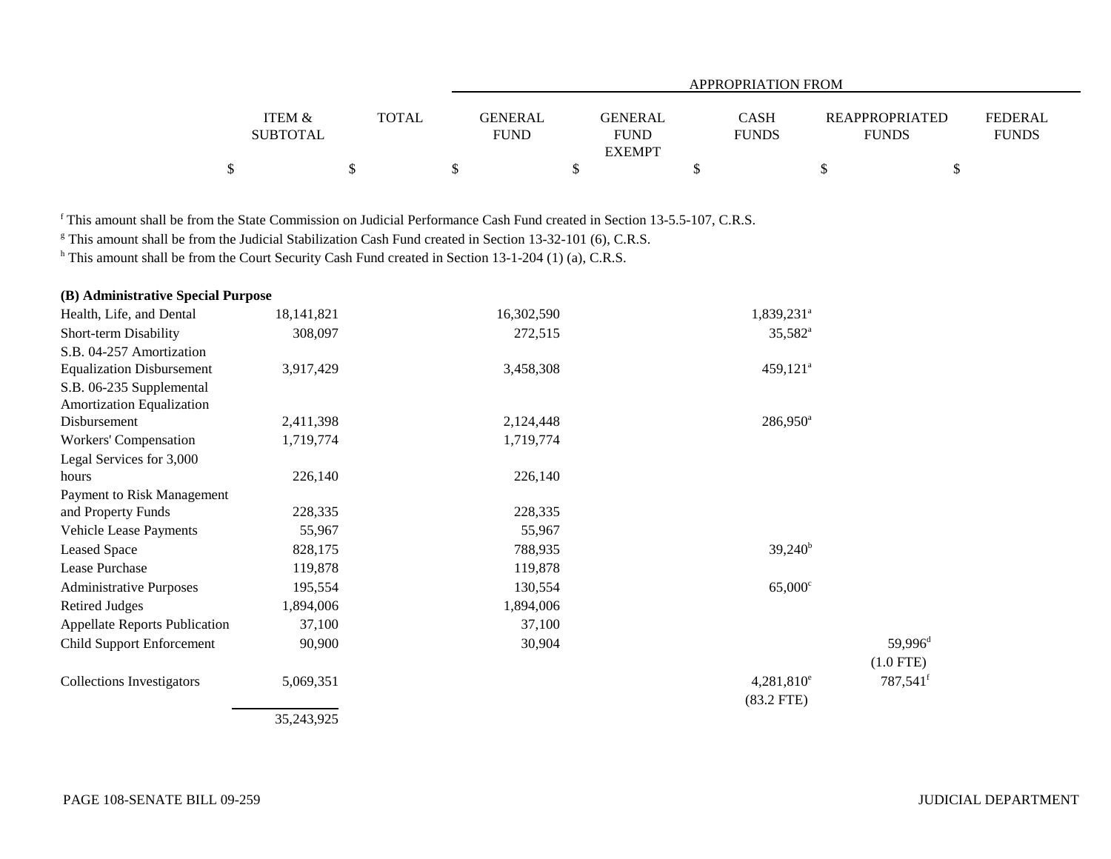|                                      |              | APPROPRIATION FROM            |                                         |                             |                                |                                |  |  |  |  |
|--------------------------------------|--------------|-------------------------------|-----------------------------------------|-----------------------------|--------------------------------|--------------------------------|--|--|--|--|
| <b>ITEM &amp;</b><br><b>SUBTOTAL</b> | <b>TOTAL</b> | <b>GENERAL</b><br><b>FUND</b> | GENERAL<br><b>FUND</b><br><b>EXEMPT</b> | <b>CASH</b><br><b>FUNDS</b> | REAPPROPRIATED<br><b>FUNDS</b> | <b>FEDERAL</b><br><b>FUNDS</b> |  |  |  |  |
|                                      |              |                               |                                         |                             |                                |                                |  |  |  |  |

f This amount shall be from the State Commission on Judicial Performance Cash Fund created in Section 13-5.5-107, C.R.S.

<sup>g</sup> This amount shall be from the Judicial Stabilization Cash Fund created in Section 13-32-101 (6), C.R.S.

h This amount shall be from the Court Security Cash Fund created in Section 13-1-204 (1) (a), C.R.S.

| (B) Administrative Special Purpose   |              |            |                        |                      |
|--------------------------------------|--------------|------------|------------------------|----------------------|
| Health, Life, and Dental             | 18, 141, 821 | 16,302,590 | 1,839,231 <sup>a</sup> |                      |
| Short-term Disability                | 308,097      | 272,515    | $35,582^{\circ}$       |                      |
| S.B. 04-257 Amortization             |              |            |                        |                      |
| <b>Equalization Disbursement</b>     | 3,917,429    | 3,458,308  | 459,121 <sup>a</sup>   |                      |
| S.B. 06-235 Supplemental             |              |            |                        |                      |
| Amortization Equalization            |              |            |                        |                      |
| Disbursement                         | 2,411,398    | 2,124,448  | $286,950^a$            |                      |
| Workers' Compensation                | 1,719,774    | 1,719,774  |                        |                      |
| Legal Services for 3,000             |              |            |                        |                      |
| hours                                | 226,140      | 226,140    |                        |                      |
| Payment to Risk Management           |              |            |                        |                      |
| and Property Funds                   | 228,335      | 228,335    |                        |                      |
| Vehicle Lease Payments               | 55,967       | 55,967     |                        |                      |
| <b>Leased Space</b>                  | 828,175      | 788,935    | $39,240^b$             |                      |
| Lease Purchase                       | 119,878      | 119,878    |                        |                      |
| <b>Administrative Purposes</b>       | 195,554      | 130,554    | $65,000^{\circ}$       |                      |
| <b>Retired Judges</b>                | 1,894,006    | 1,894,006  |                        |                      |
| <b>Appellate Reports Publication</b> | 37,100       | 37,100     |                        |                      |
| <b>Child Support Enforcement</b>     | 90,900       | 30,904     |                        | 59,996 <sup>d</sup>  |
|                                      |              |            |                        | $(1.0$ FTE)          |
| <b>Collections Investigators</b>     | 5,069,351    |            | $4,281,810^e$          | 787,541 <sup>f</sup> |
|                                      |              |            | $(83.2$ FTE)           |                      |
|                                      | 35,243,925   |            |                        |                      |
|                                      |              |            |                        |                      |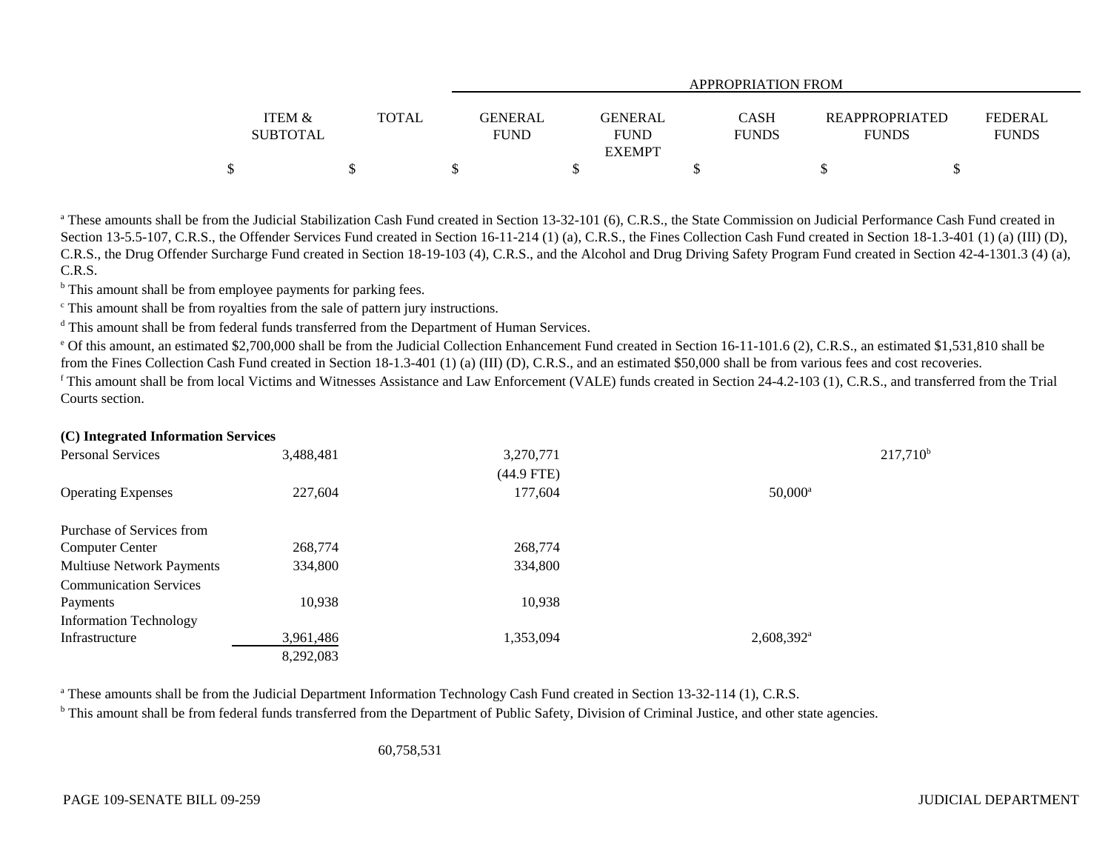|                   |              | APPROPRIATION FROM |                              |              |                                  |  |  |  |  |  |
|-------------------|--------------|--------------------|------------------------------|--------------|----------------------------------|--|--|--|--|--|
| <b>ITEM &amp;</b> | <b>TOTAL</b> | <b>GENERAL</b>     | <b>GENERAL</b>               | <b>CASH</b>  | FEDERAL<br><b>REAPPROPRIATED</b> |  |  |  |  |  |
| <b>SUBTOTAL</b>   |              | <b>FUND</b>        | <b>FUND</b><br><b>EXEMPT</b> | <b>FUNDS</b> | <b>FUNDS</b><br><b>FUNDS</b>     |  |  |  |  |  |
|                   |              |                    |                              |              |                                  |  |  |  |  |  |

<sup>a</sup> These amounts shall be from the Judicial Stabilization Cash Fund created in Section 13-32-101 (6), C.R.S., the State Commission on Judicial Performance Cash Fund created in Section 13-5.5-107, C.R.S., the Offender Services Fund created in Section 16-11-214 (1) (a), C.R.S., the Fines Collection Cash Fund created in Section 18-1.3-401 (1) (a) (III) (D), C.R.S., the Drug Offender Surcharge Fund created in Section 18-19-103 (4), C.R.S., and the Alcohol and Drug Driving Safety Program Fund created in Section 42-4-1301.3 (4) (a), C.R.S.

<sup>b</sup> This amount shall be from employee payments for parking fees.

c This amount shall be from royalties from the sale of pattern jury instructions.

<sup>d</sup> This amount shall be from federal funds transferred from the Department of Human Services.

<sup>e</sup> Of this amount, an estimated \$2,700,000 shall be from the Judicial Collection Enhancement Fund created in Section 16-11-101.6 (2), C.R.S., an estimated \$1,531,810 shall be from the Fines Collection Cash Fund created in Section 18-1.3-401 (1) (a) (III) (D), C.R.S., and an estimated \$50,000 shall be from various fees and cost recoveries.

<sup>f</sup> This amount shall be from local Victims and Witnesses Assistance and Law Enforcement (VALE) funds created in Section 24-4.2-103 (1), C.R.S., and transferred from the Trial Courts section.

| (C) Integrated Information Services |           |              |                          |
|-------------------------------------|-----------|--------------|--------------------------|
| <b>Personal Services</b>            | 3,488,481 | 3,270,771    | $217,710^{\rm t}$        |
|                                     |           | $(44.9$ FTE) |                          |
| <b>Operating Expenses</b>           | 227,604   | 177,604      | $50,000^a$               |
| Purchase of Services from           |           |              |                          |
| <b>Computer Center</b>              | 268,774   | 268,774      |                          |
| <b>Multiuse Network Payments</b>    | 334,800   | 334,800      |                          |
| <b>Communication Services</b>       |           |              |                          |
| Payments                            | 10,938    | 10,938       |                          |
| <b>Information Technology</b>       |           |              |                          |
| Infrastructure                      | 3,961,486 | 1,353,094    | $2,608,392$ <sup>a</sup> |
|                                     | 8,292,083 |              |                          |

<sup>a</sup> These amounts shall be from the Judicial Department Information Technology Cash Fund created in Section 13-32-114 (1), C.R.S.

<sup>b</sup> This amount shall be from federal funds transferred from the Department of Public Safety, Division of Criminal Justice, and other state agencies.

60,758,531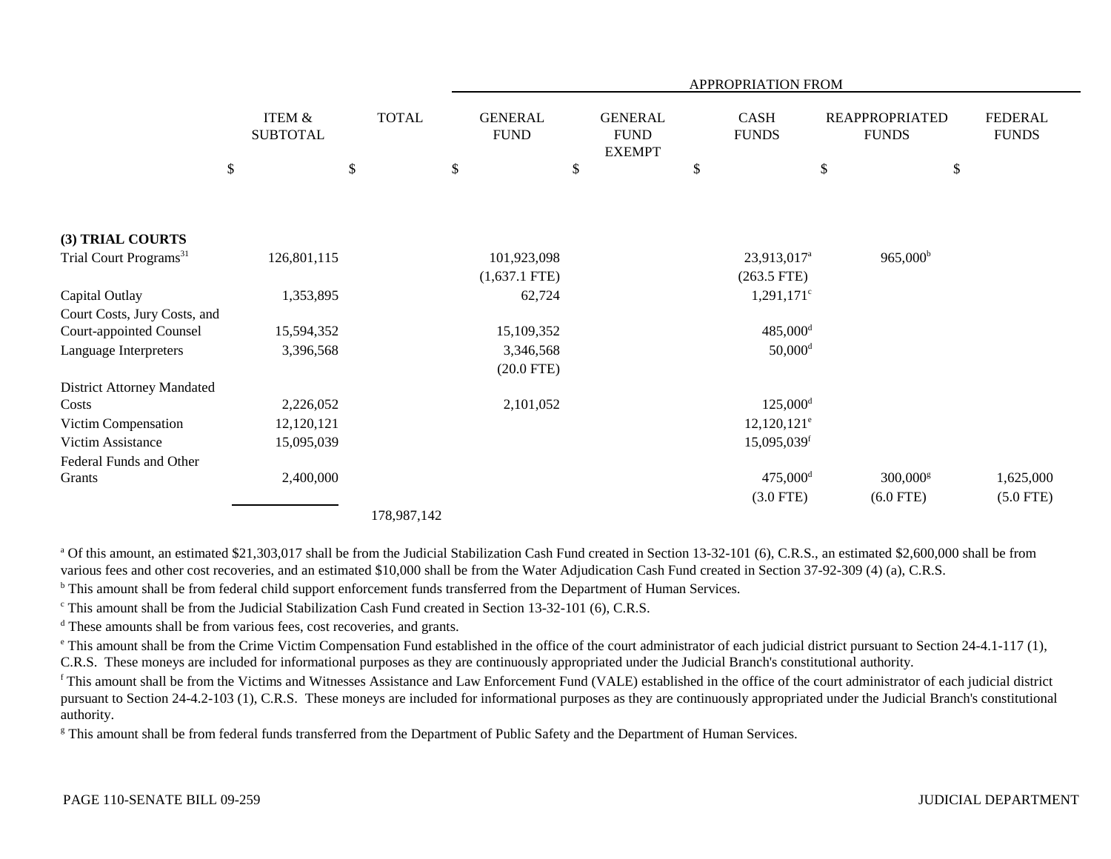| <b>TOTAL</b><br><b>GENERAL</b><br><b>CASH</b><br><b>FEDERAL</b><br><b>ITEM &amp;</b><br><b>GENERAL</b><br><b>REAPPROPRIATED</b><br><b>SUBTOTAL</b><br><b>FUND</b><br><b>FUND</b><br><b>FUNDS</b><br><b>FUNDS</b><br><b>FUNDS</b><br><b>EXEMPT</b><br>$\mathbb{S}$<br>$\$$<br>$\boldsymbol{\mathsf{S}}$<br>$\$$<br>\$<br>\$<br>\$<br>Trial Court Programs <sup>31</sup><br>$965,000^{\rm b}$<br>126,801,115<br>101,923,098<br>23,913,017 <sup>a</sup><br>$(1,637.1$ FTE)<br>$(263.5$ FTE)<br>1,353,895<br>62,724<br>$1,291,171$ °<br>$485,000$ <sup>d</sup><br>15,594,352<br>15,109,352<br>$50,000$ <sup>d</sup><br>3,396,568<br>3,346,568<br>$(20.0$ FTE)<br>$125,000$ <sup>d</sup><br>2,226,052<br>2,101,052<br>$12,120,121^e$<br>Victim Compensation<br>12,120,121<br>$15,095,039$ <sup>f</sup><br>Victim Assistance<br>15,095,039<br>$475,000$ <sup>d</sup><br>2,400,000<br>$300,000$ <sup>g</sup><br>1,625,000<br>$(3.0$ FTE)<br>$(6.0$ FTE)<br>$(5.0$ FTE) |                                   |  |  | APPROPRIATION FROM |  |
|-----------------------------------------------------------------------------------------------------------------------------------------------------------------------------------------------------------------------------------------------------------------------------------------------------------------------------------------------------------------------------------------------------------------------------------------------------------------------------------------------------------------------------------------------------------------------------------------------------------------------------------------------------------------------------------------------------------------------------------------------------------------------------------------------------------------------------------------------------------------------------------------------------------------------------------------------------------------|-----------------------------------|--|--|--------------------|--|
|                                                                                                                                                                                                                                                                                                                                                                                                                                                                                                                                                                                                                                                                                                                                                                                                                                                                                                                                                                 |                                   |  |  |                    |  |
|                                                                                                                                                                                                                                                                                                                                                                                                                                                                                                                                                                                                                                                                                                                                                                                                                                                                                                                                                                 |                                   |  |  |                    |  |
|                                                                                                                                                                                                                                                                                                                                                                                                                                                                                                                                                                                                                                                                                                                                                                                                                                                                                                                                                                 |                                   |  |  |                    |  |
|                                                                                                                                                                                                                                                                                                                                                                                                                                                                                                                                                                                                                                                                                                                                                                                                                                                                                                                                                                 | (3) TRIAL COURTS                  |  |  |                    |  |
|                                                                                                                                                                                                                                                                                                                                                                                                                                                                                                                                                                                                                                                                                                                                                                                                                                                                                                                                                                 |                                   |  |  |                    |  |
|                                                                                                                                                                                                                                                                                                                                                                                                                                                                                                                                                                                                                                                                                                                                                                                                                                                                                                                                                                 |                                   |  |  |                    |  |
|                                                                                                                                                                                                                                                                                                                                                                                                                                                                                                                                                                                                                                                                                                                                                                                                                                                                                                                                                                 | Capital Outlay                    |  |  |                    |  |
|                                                                                                                                                                                                                                                                                                                                                                                                                                                                                                                                                                                                                                                                                                                                                                                                                                                                                                                                                                 | Court Costs, Jury Costs, and      |  |  |                    |  |
|                                                                                                                                                                                                                                                                                                                                                                                                                                                                                                                                                                                                                                                                                                                                                                                                                                                                                                                                                                 | <b>Court-appointed Counsel</b>    |  |  |                    |  |
|                                                                                                                                                                                                                                                                                                                                                                                                                                                                                                                                                                                                                                                                                                                                                                                                                                                                                                                                                                 | Language Interpreters             |  |  |                    |  |
|                                                                                                                                                                                                                                                                                                                                                                                                                                                                                                                                                                                                                                                                                                                                                                                                                                                                                                                                                                 |                                   |  |  |                    |  |
|                                                                                                                                                                                                                                                                                                                                                                                                                                                                                                                                                                                                                                                                                                                                                                                                                                                                                                                                                                 | <b>District Attorney Mandated</b> |  |  |                    |  |
|                                                                                                                                                                                                                                                                                                                                                                                                                                                                                                                                                                                                                                                                                                                                                                                                                                                                                                                                                                 | Costs                             |  |  |                    |  |
|                                                                                                                                                                                                                                                                                                                                                                                                                                                                                                                                                                                                                                                                                                                                                                                                                                                                                                                                                                 |                                   |  |  |                    |  |
|                                                                                                                                                                                                                                                                                                                                                                                                                                                                                                                                                                                                                                                                                                                                                                                                                                                                                                                                                                 |                                   |  |  |                    |  |
|                                                                                                                                                                                                                                                                                                                                                                                                                                                                                                                                                                                                                                                                                                                                                                                                                                                                                                                                                                 | Federal Funds and Other           |  |  |                    |  |
|                                                                                                                                                                                                                                                                                                                                                                                                                                                                                                                                                                                                                                                                                                                                                                                                                                                                                                                                                                 | Grants                            |  |  |                    |  |
| 170007142                                                                                                                                                                                                                                                                                                                                                                                                                                                                                                                                                                                                                                                                                                                                                                                                                                                                                                                                                       |                                   |  |  |                    |  |

178,987,142

<sup>a</sup> Of this amount, an estimated \$21,303,017 shall be from the Judicial Stabilization Cash Fund created in Section 13-32-101 (6), C.R.S., an estimated \$2,600,000 shall be from various fees and other cost recoveries, and an estimated \$10,000 shall be from the Water Adjudication Cash Fund created in Section 37-92-309 (4) (a), C.R.S.

<sup>b</sup> This amount shall be from federal child support enforcement funds transferred from the Department of Human Services.

<sup>c</sup> This amount shall be from the Judicial Stabilization Cash Fund created in Section 13-32-101 (6), C.R.S.

<sup>d</sup> These amounts shall be from various fees, cost recoveries, and grants.

e This amount shall be from the Crime Victim Compensation Fund established in the office of the court administrator of each judicial district pursuant to Section 24-4.1-117 (1), C.R.S. These moneys are included for informational purposes as they are continuously appropriated under the Judicial Branch's constitutional authority.

<sup>f</sup> This amount shall be from the Victims and Witnesses Assistance and Law Enforcement Fund (VALE) established in the office of the court administrator of each judicial district pursuant to Section 24-4.2-103 (1), C.R.S. These moneys are included for informational purposes as they are continuously appropriated under the Judicial Branch's constitutional authority.

<sup>g</sup> This amount shall be from federal funds transferred from the Department of Public Safety and the Department of Human Services.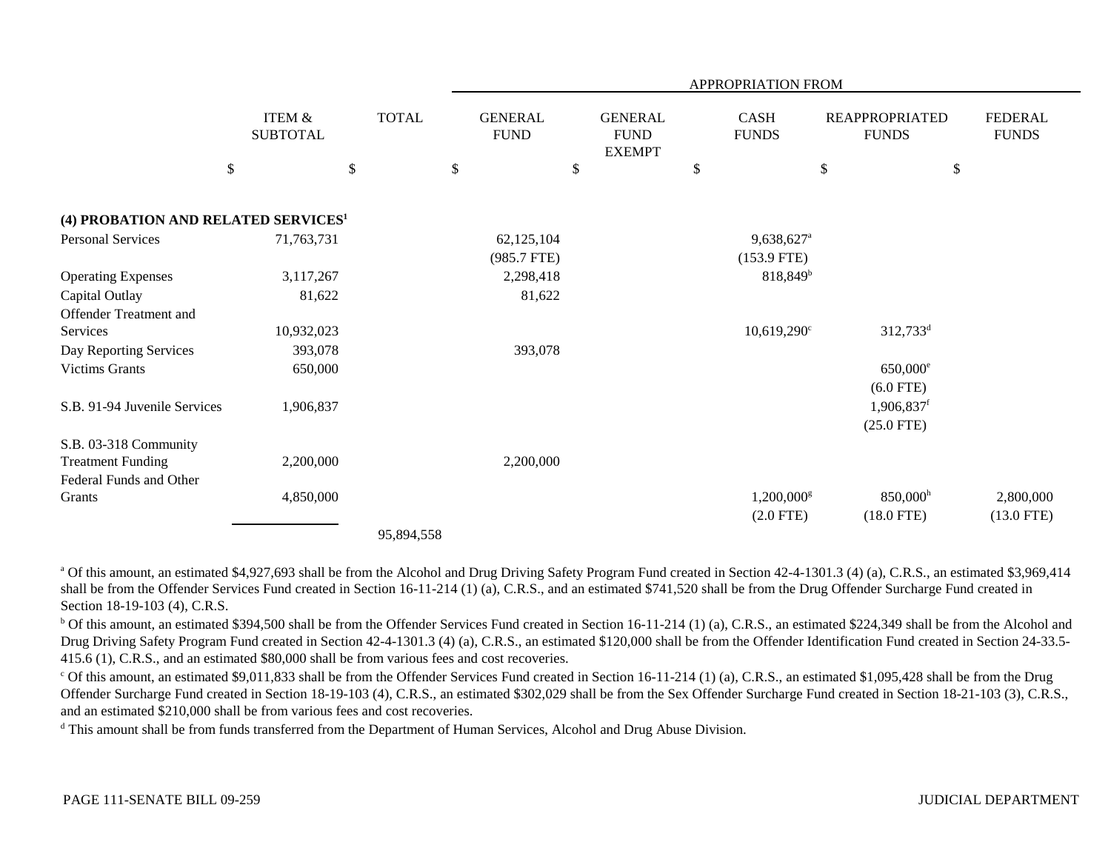|                                                 |                           |                                      |              |                               |                                                | APPROPRIATION FROM          |                           |                                       |                                |
|-------------------------------------------------|---------------------------|--------------------------------------|--------------|-------------------------------|------------------------------------------------|-----------------------------|---------------------------|---------------------------------------|--------------------------------|
|                                                 |                           | <b>ITEM &amp;</b><br><b>SUBTOTAL</b> | <b>TOTAL</b> | <b>GENERAL</b><br><b>FUND</b> | <b>GENERAL</b><br><b>FUND</b><br><b>EXEMPT</b> | <b>CASH</b><br><b>FUNDS</b> |                           | <b>REAPPROPRIATED</b><br><b>FUNDS</b> | <b>FEDERAL</b><br><b>FUNDS</b> |
|                                                 | $\boldsymbol{\mathsf{S}}$ |                                      | \$           | \$                            | \$                                             | \$                          | $\boldsymbol{\mathsf{S}}$ | \$                                    |                                |
| (4) PROBATION AND RELATED SERVICES <sup>1</sup> |                           |                                      |              |                               |                                                |                             |                           |                                       |                                |
| <b>Personal Services</b>                        |                           | 71,763,731                           |              | 62,125,104                    |                                                | 9,638,627 <sup>a</sup>      |                           |                                       |                                |
|                                                 |                           |                                      |              | (985.7 FTE)                   |                                                | $(153.9$ FTE)               |                           |                                       |                                |
| <b>Operating Expenses</b>                       |                           | 3,117,267                            |              | 2,298,418                     |                                                | $818,849^b$                 |                           |                                       |                                |
| Capital Outlay                                  |                           | 81,622                               |              | 81,622                        |                                                |                             |                           |                                       |                                |
| <b>Offender Treatment and</b>                   |                           |                                      |              |                               |                                                |                             |                           |                                       |                                |
| Services                                        |                           | 10,932,023                           |              |                               |                                                | $10,619,290^{\circ}$        |                           | $312,733^d$                           |                                |
| Day Reporting Services                          |                           | 393,078                              |              | 393,078                       |                                                |                             |                           |                                       |                                |
| <b>Victims Grants</b>                           |                           | 650,000                              |              |                               |                                                |                             |                           | 650,000 <sup>e</sup>                  |                                |
|                                                 |                           |                                      |              |                               |                                                |                             |                           | $(6.0$ FTE)                           |                                |
| S.B. 91-94 Juvenile Services                    |                           | 1,906,837                            |              |                               |                                                |                             |                           | $1,906,837$ <sup>f</sup>              |                                |
|                                                 |                           |                                      |              |                               |                                                |                             |                           | $(25.0$ FTE)                          |                                |
| S.B. 03-318 Community                           |                           |                                      |              |                               |                                                |                             |                           |                                       |                                |
| <b>Treatment Funding</b>                        |                           | 2,200,000                            |              | 2,200,000                     |                                                |                             |                           |                                       |                                |
| Federal Funds and Other                         |                           |                                      |              |                               |                                                |                             |                           |                                       |                                |
| Grants                                          |                           | 4,850,000                            |              |                               |                                                | $1,200,000$ <sup>g</sup>    |                           | $850,000$ <sup>h</sup>                | 2,800,000                      |
|                                                 |                           |                                      |              |                               |                                                | $(2.0$ FTE)                 |                           | $(18.0$ FTE)                          | $(13.0$ FTE)                   |
|                                                 |                           |                                      | 95,894,558   |                               |                                                |                             |                           |                                       |                                |

<sup>a</sup> Of this amount, an estimated \$4,927,693 shall be from the Alcohol and Drug Driving Safety Program Fund created in Section 42-4-1301.3 (4) (a), C.R.S., an estimated \$3,969,414 shall be from the Offender Services Fund created in Section 16-11-214 (1) (a), C.R.S., and an estimated \$741,520 shall be from the Drug Offender Surcharge Fund created in Section 18-19-103 (4), C.R.S.

 $^{\rm b}$  Of this amount, an estimated \$394,500 shall be from the Offender Services Fund created in Section 16-11-214 (1) (a), C.R.S., an estimated \$224,349 shall be from the Alcohol and Drug Driving Safety Program Fund created in Section 42-4-1301.3 (4) (a), C.R.S., an estimated \$120,000 shall be from the Offender Identification Fund created in Section 24-33.5- 415.6 (1), C.R.S., and an estimated \$80,000 shall be from various fees and cost recoveries.

 $^{\circ}$  Of this amount, an estimated \$9,011,833 shall be from the Offender Services Fund created in Section 16-11-214 (1) (a), C.R.S., an estimated \$1,095,428 shall be from the Drug Offender Surcharge Fund created in Section 18-19-103 (4), C.R.S., an estimated \$302,029 shall be from the Sex Offender Surcharge Fund created in Section 18-21-103 (3), C.R.S., and an estimated \$210,000 shall be from various fees and cost recoveries.

<sup>d</sup> This amount shall be from funds transferred from the Department of Human Services, Alcohol and Drug Abuse Division.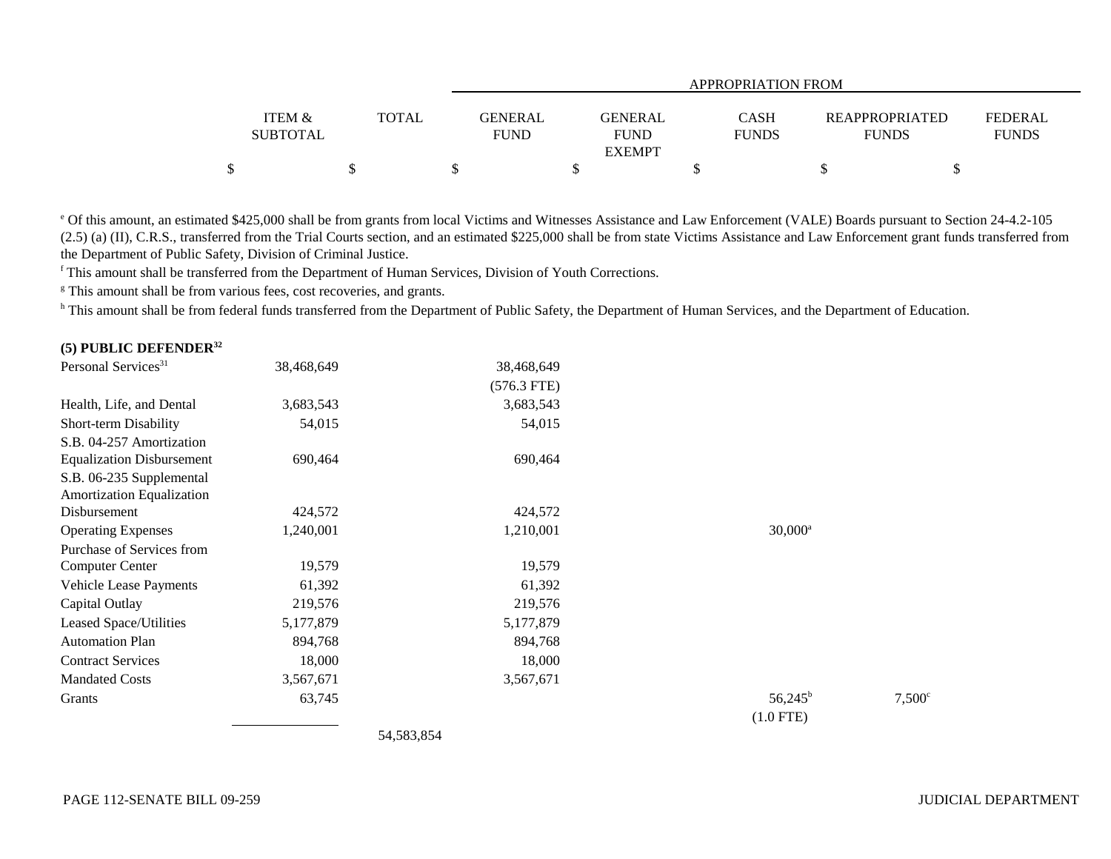|                                      |       |                               | APPROPRIATION FROM                             |                             |                                       |                                |  |  |  |  |  |
|--------------------------------------|-------|-------------------------------|------------------------------------------------|-----------------------------|---------------------------------------|--------------------------------|--|--|--|--|--|
| <b>ITEM &amp;</b><br><b>SUBTOTAL</b> | TOTAL | <b>GENERAL</b><br><b>FUND</b> | <b>GENERAL</b><br><b>FUND</b><br><b>EXEMPT</b> | <b>CASH</b><br><b>FUNDS</b> | <b>REAPPROPRIATED</b><br><b>FUNDS</b> | <b>FEDERAL</b><br><b>FUNDS</b> |  |  |  |  |  |
| \$                                   |       |                               |                                                |                             |                                       |                                |  |  |  |  |  |

e Of this amount, an estimated \$425,000 shall be from grants from local Victims and Witnesses Assistance and Law Enforcement (VALE) Boards pursuant to Section 24-4.2-105 (2.5) (a) (II), C.R.S., transferred from the Trial Courts section, and an estimated \$225,000 shall be from state Victims Assistance and Law Enforcement grant funds transferred from the Department of Public Safety, Division of Criminal Justice.

f This amount shall be transferred from the Department of Human Services, Division of Youth Corrections.

<sup>g</sup> This amount shall be from various fees, cost recoveries, and grants.

h This amount shall be from federal funds transferred from the Department of Public Safety, the Department of Human Services, and the Department of Education.

| (5) PUBLIC DEFENDER $32$         |            |                                 |                  |                 |
|----------------------------------|------------|---------------------------------|------------------|-----------------|
| Personal Services <sup>31</sup>  | 38,468,649 | 38,468,649                      |                  |                 |
|                                  |            | $(576.3$ FTE)                   |                  |                 |
| Health, Life, and Dental         | 3,683,543  | 3,683,543                       |                  |                 |
| Short-term Disability            | 54,015     | 54,015                          |                  |                 |
| S.B. 04-257 Amortization         |            |                                 |                  |                 |
| <b>Equalization Disbursement</b> | 690,464    | 690,464                         |                  |                 |
| S.B. 06-235 Supplemental         |            |                                 |                  |                 |
| Amortization Equalization        |            |                                 |                  |                 |
| Disbursement                     | 424,572    | 424,572                         |                  |                 |
| <b>Operating Expenses</b>        | 1,240,001  | 1,210,001                       | $30,000^a$       |                 |
| Purchase of Services from        |            |                                 |                  |                 |
| <b>Computer Center</b>           | 19,579     | 19,579                          |                  |                 |
| Vehicle Lease Payments           | 61,392     | 61,392                          |                  |                 |
| Capital Outlay                   | 219,576    | 219,576                         |                  |                 |
| Leased Space/Utilities           | 5,177,879  | 5,177,879                       |                  |                 |
| <b>Automation Plan</b>           | 894,768    | 894,768                         |                  |                 |
| <b>Contract Services</b>         | 18,000     | 18,000                          |                  |                 |
| <b>Mandated Costs</b>            | 3,567,671  | 3,567,671                       |                  |                 |
| Grants                           | 63,745     |                                 | $56,245^{\rm b}$ | $7,500^{\circ}$ |
|                                  |            |                                 | $(1.0$ FTE)      |                 |
|                                  |            | $F \land F \cap \cap F \land F$ |                  |                 |

54,583,854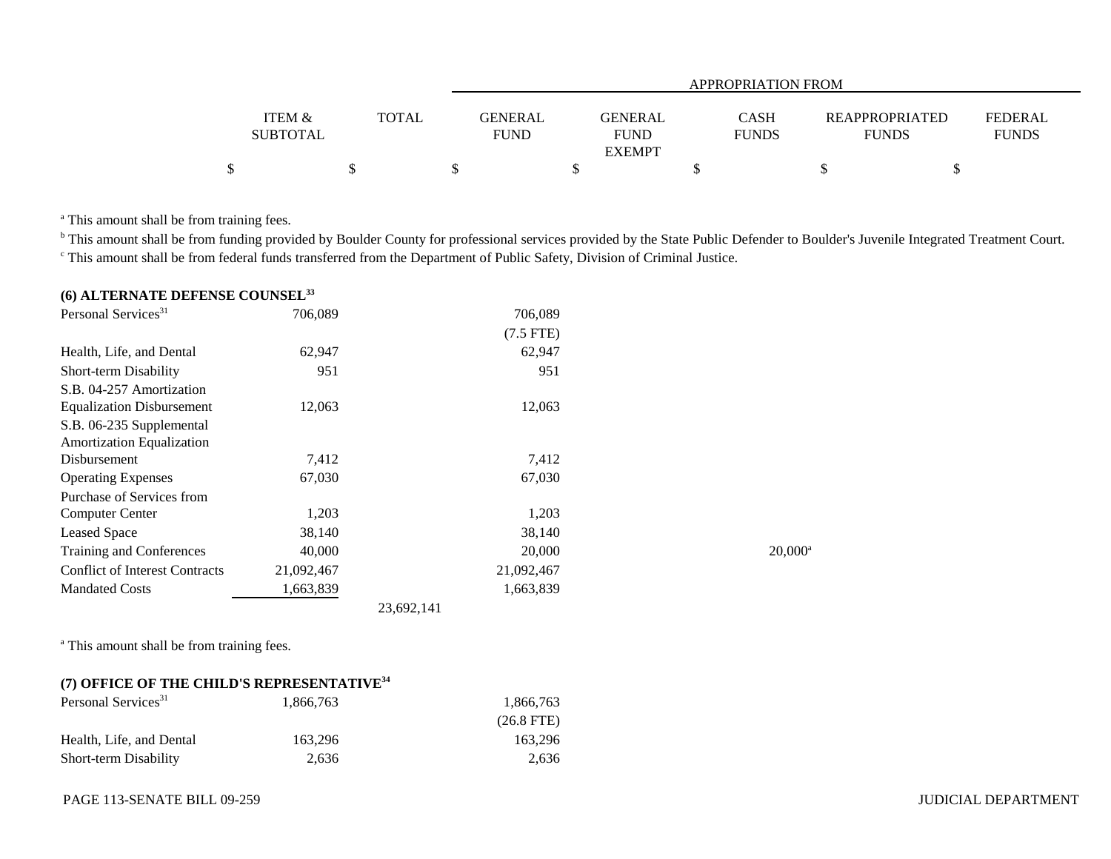|                   |              | APPROPRIATION FROM |                             |  |                                         |  |  |  |  |  |
|-------------------|--------------|--------------------|-----------------------------|--|-----------------------------------------|--|--|--|--|--|
|                   |              |                    |                             |  |                                         |  |  |  |  |  |
| <b>ITEM &amp;</b> | <b>TOTAL</b> | <b>GENERAL</b>     | <b>CASH</b><br>GENERAL      |  | <b>FEDERAL</b><br><b>REAPPROPRIATED</b> |  |  |  |  |  |
| <b>SUBTOTAL</b>   |              | <b>FUND</b>        | <b>FUNDS</b><br><b>FUND</b> |  | <b>FUNDS</b><br><b>FUNDS</b>            |  |  |  |  |  |
|                   |              |                    | <b>EXEMPT</b>               |  |                                         |  |  |  |  |  |
|                   |              |                    |                             |  |                                         |  |  |  |  |  |

<sup>a</sup> This amount shall be from training fees.

<sup>b</sup> This amount shall be from funding provided by Boulder County for professional services provided by the State Public Defender to Boulder's Juvenile Integrated Treatment Court. c This amount shall be from federal funds transferred from the Department of Public Safety, Division of Criminal Justice.

## **(6) ALTERNATE DEFENSE COUNSEL<sup>33</sup>**

| Personal Services <sup>31</sup>       | 706,089    | 706,089     |                  |
|---------------------------------------|------------|-------------|------------------|
|                                       |            | $(7.5$ FTE) |                  |
| Health, Life, and Dental              | 62,947     | 62,947      |                  |
| Short-term Disability                 | 951        | 951         |                  |
| S.B. 04-257 Amortization              |            |             |                  |
| <b>Equalization Disbursement</b>      | 12,063     | 12,063      |                  |
| S.B. 06-235 Supplemental              |            |             |                  |
| <b>Amortization Equalization</b>      |            |             |                  |
| Disbursement                          | 7,412      | 7,412       |                  |
| <b>Operating Expenses</b>             | 67,030     | 67,030      |                  |
| Purchase of Services from             |            |             |                  |
| <b>Computer Center</b>                | 1,203      | 1,203       |                  |
| <b>Leased Space</b>                   | 38,140     | 38,140      |                  |
| Training and Conferences              | 40,000     | 20,000      | $20,000^{\circ}$ |
| <b>Conflict of Interest Contracts</b> | 21,092,467 | 21,092,467  |                  |
| <b>Mandated Costs</b>                 | 1,663,839  | 1,663,839   |                  |
|                                       |            | 23.692.141  |                  |

<sup>a</sup> This amount shall be from training fees.

## **(7) OFFICE OF THE CHILD'S REPRESENTATIVE<sup>34</sup>**

| Personal Services <sup>31</sup> | 1.866.763 | 1.866.763    |
|---------------------------------|-----------|--------------|
|                                 |           | $(26.8$ FTE) |
| Health, Life, and Dental        | 163.296   | 163.296      |
| <b>Short-term Disability</b>    | 2.636     | 2.636        |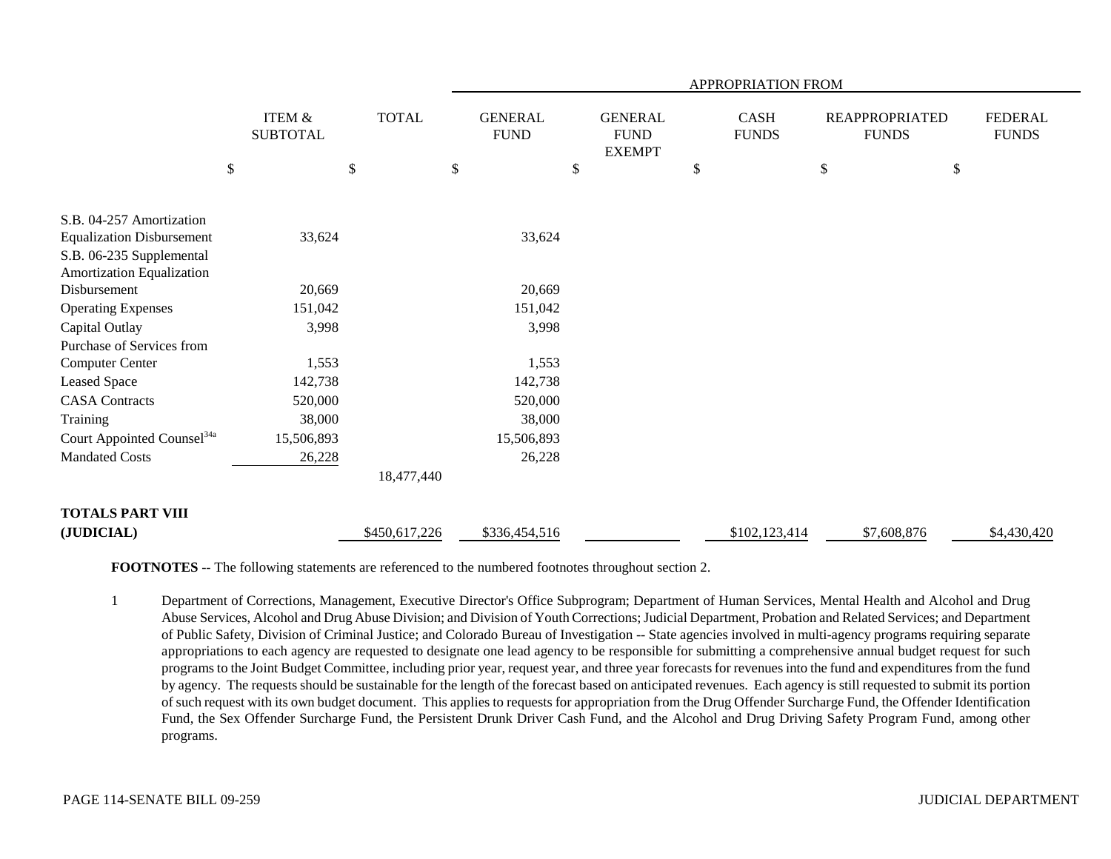|                                                              |    |                                      |    |               | APPROPRIATION FROM |                               |    |                                                |    |                             |      |                                       |                                |
|--------------------------------------------------------------|----|--------------------------------------|----|---------------|--------------------|-------------------------------|----|------------------------------------------------|----|-----------------------------|------|---------------------------------------|--------------------------------|
|                                                              |    | <b>ITEM &amp;</b><br><b>SUBTOTAL</b> |    | <b>TOTAL</b>  |                    | <b>GENERAL</b><br><b>FUND</b> |    | <b>GENERAL</b><br><b>FUND</b><br><b>EXEMPT</b> |    | <b>CASH</b><br><b>FUNDS</b> |      | <b>REAPPROPRIATED</b><br><b>FUNDS</b> | <b>FEDERAL</b><br><b>FUNDS</b> |
|                                                              | \$ |                                      | \$ |               | \$                 |                               | \$ |                                                | \$ |                             | $\$$ |                                       | \$                             |
|                                                              |    |                                      |    |               |                    |                               |    |                                                |    |                             |      |                                       |                                |
| S.B. 04-257 Amortization<br><b>Equalization Disbursement</b> |    | 33,624                               |    |               |                    | 33,624                        |    |                                                |    |                             |      |                                       |                                |
| S.B. 06-235 Supplemental                                     |    |                                      |    |               |                    |                               |    |                                                |    |                             |      |                                       |                                |
| Amortization Equalization                                    |    |                                      |    |               |                    |                               |    |                                                |    |                             |      |                                       |                                |
| Disbursement                                                 |    | 20,669                               |    |               |                    | 20,669                        |    |                                                |    |                             |      |                                       |                                |
| <b>Operating Expenses</b>                                    |    | 151,042                              |    |               |                    | 151,042                       |    |                                                |    |                             |      |                                       |                                |
| Capital Outlay                                               |    | 3,998                                |    |               |                    | 3,998                         |    |                                                |    |                             |      |                                       |                                |
| Purchase of Services from                                    |    |                                      |    |               |                    |                               |    |                                                |    |                             |      |                                       |                                |
| <b>Computer Center</b>                                       |    | 1,553                                |    |               |                    | 1,553                         |    |                                                |    |                             |      |                                       |                                |
| Leased Space                                                 |    | 142,738                              |    |               |                    | 142,738                       |    |                                                |    |                             |      |                                       |                                |
| <b>CASA</b> Contracts                                        |    | 520,000                              |    |               |                    | 520,000                       |    |                                                |    |                             |      |                                       |                                |
| Training                                                     |    | 38,000                               |    |               |                    | 38,000                        |    |                                                |    |                             |      |                                       |                                |
| Court Appointed Counsel <sup>34a</sup>                       |    | 15,506,893                           |    |               |                    | 15,506,893                    |    |                                                |    |                             |      |                                       |                                |
| <b>Mandated Costs</b>                                        |    | 26,228                               |    |               |                    | 26,228                        |    |                                                |    |                             |      |                                       |                                |
|                                                              |    |                                      |    | 18,477,440    |                    |                               |    |                                                |    |                             |      |                                       |                                |
| <b>TOTALS PART VIII</b>                                      |    |                                      |    |               |                    |                               |    |                                                |    |                             |      |                                       |                                |
| (JUDICIAL)                                                   |    |                                      |    | \$450,617,226 |                    | \$336,454,516                 |    |                                                |    | \$102,123,414               |      | \$7,608,876                           | \$4,430,420                    |

**FOOTNOTES** -- The following statements are referenced to the numbered footnotes throughout section 2.

1 Department of Corrections, Management, Executive Director's Office Subprogram; Department of Human Services, Mental Health and Alcohol and Drug Abuse Services, Alcohol and Drug Abuse Division; and Division of Youth Corrections; Judicial Department, Probation and Related Services; and Department of Public Safety, Division of Criminal Justice; and Colorado Bureau of Investigation -- State agencies involved in multi-agency programs requiring separate appropriations to each agency are requested to designate one lead agency to be responsible for submitting a comprehensive annual budget request for such programs to the Joint Budget Committee, including prior year, request year, and three year forecasts for revenues into the fund and expenditures from the fund by agency. The requests should be sustainable for the length of the forecast based on anticipated revenues. Each agency is still requested to submit its portion of such request with its own budget document. This applies to requests for appropriation from the Drug Offender Surcharge Fund, the Offender Identification Fund, the Sex Offender Surcharge Fund, the Persistent Drunk Driver Cash Fund, and the Alcohol and Drug Driving Safety Program Fund, among other programs.